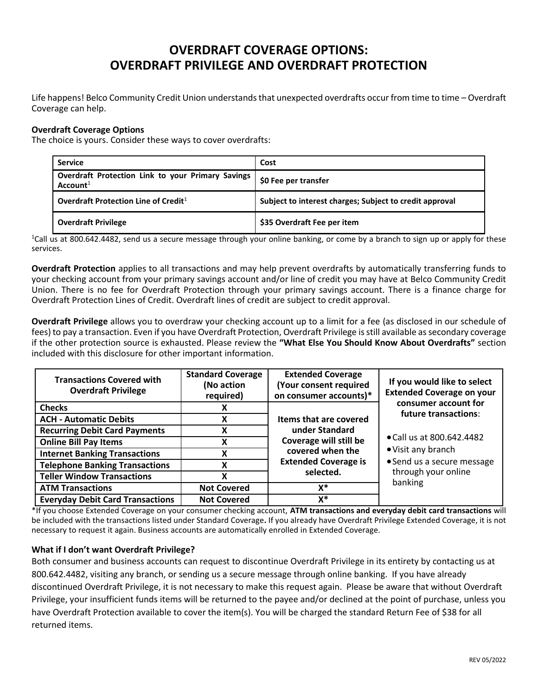## **OVERDRAFT COVERAGE OPTIONS: OVERDRAFT PRIVILEGE AND OVERDRAFT PROTECTION**

Life happens! Belco Community Credit Union understands that unexpected overdrafts occur from time to time – Overdraft Coverage can help.

## **Overdraft Coverage Options**

The choice is yours. Consider these ways to cover overdrafts:

| <b>Service</b>                                                            | Cost                                                    |  |
|---------------------------------------------------------------------------|---------------------------------------------------------|--|
| Overdraft Protection Link to your Primary Savings<br>Account <sup>1</sup> | \$0 Fee per transfer                                    |  |
| Overdraft Protection Line of Credit <sup>1</sup>                          | Subject to interest charges; Subject to credit approval |  |
| <b>Overdraft Privilege</b>                                                | \$35 Overdraft Fee per item                             |  |

<sup>1</sup>Call us at 800.642.4482, send us a secure message through your online banking, or come by a branch to sign up or apply for these services.

**Overdraft Protection** applies to all transactions and may help prevent overdrafts by automatically transferring funds to your checking account from your primary savings account and/or line of credit you may have at Belco Community Credit Union. There is no fee for Overdraft Protection through your primary savings account. There is a finance charge for Overdraft Protection Lines of Credit. Overdraft lines of credit are subject to credit approval.

**Overdraft Privilege** allows you to overdraw your checking account up to a limit for a fee (as disclosed in our schedule of fees) to pay a transaction. Even if you have Overdraft Protection, Overdraft Privilege is still available as secondary coverage if the other protection source is exhausted. Please review the **"What Else You Should Know About Overdrafts"** section included with this disclosure for other important information.

| <b>Transactions Covered with</b><br><b>Overdraft Privilege</b> | <b>Standard Coverage</b><br>(No action<br>required) | <b>Extended Coverage</b><br>(Your consent required<br>on consumer accounts)*                                                                | If you would like to select<br><b>Extended Coverage on your</b>                                                 |
|----------------------------------------------------------------|-----------------------------------------------------|---------------------------------------------------------------------------------------------------------------------------------------------|-----------------------------------------------------------------------------------------------------------------|
| <b>Checks</b>                                                  | X                                                   | Items that are covered<br>under Standard<br>Coverage will still be<br>covered when the<br><b>Extended Coverage is</b><br>selected.<br>$X^*$ | consumer account for<br>future transactions:                                                                    |
| <b>ACH - Automatic Debits</b>                                  | X                                                   |                                                                                                                                             |                                                                                                                 |
| <b>Recurring Debit Card Payments</b>                           | х                                                   |                                                                                                                                             | • Call us at 800.642.4482<br>• Visit any branch<br>• Send us a secure message<br>through your online<br>banking |
| <b>Online Bill Pay Items</b>                                   | χ                                                   |                                                                                                                                             |                                                                                                                 |
| <b>Internet Banking Transactions</b>                           | v<br>Λ                                              |                                                                                                                                             |                                                                                                                 |
| <b>Telephone Banking Transactions</b>                          | χ                                                   |                                                                                                                                             |                                                                                                                 |
| <b>Teller Window Transactions</b>                              | χ                                                   |                                                                                                                                             |                                                                                                                 |
| <b>ATM Transactions</b>                                        | <b>Not Covered</b>                                  |                                                                                                                                             |                                                                                                                 |
| <b>Everyday Debit Card Transactions</b>                        | <b>Not Covered</b>                                  | x*                                                                                                                                          |                                                                                                                 |

\*If you choose Extended Coverage on your consumer checking account, **ATM transactions and everyday debit card transactions** will be included with the transactions listed under Standard Coverage**.** If you already have Overdraft Privilege Extended Coverage, it is not necessary to request it again. Business accounts are automatically enrolled in Extended Coverage.

## **What if I don't want Overdraft Privilege?**

Both consumer and business accounts can request to discontinue Overdraft Privilege in its entirety by contacting us at 800.642.4482, visiting any branch, or sending us a secure message through online banking. If you have already discontinued Overdraft Privilege, it is not necessary to make this request again. Please be aware that without Overdraft Privilege, your insufficient funds items will be returned to the payee and/or declined at the point of purchase, unless you have Overdraft Protection available to cover the item(s). You will be charged the standard Return Fee of \$38 for all returned items.